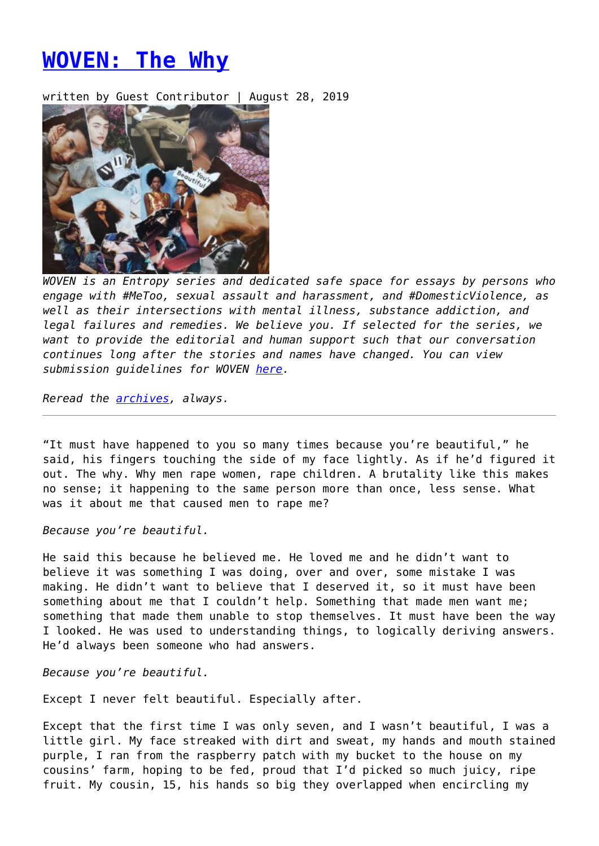## **[WOVEN: The Why](https://entropymag.org/woven-the-why/)**

written by Guest Contributor | August 28, 2019



*WOVEN is an Entropy series and dedicated safe space for essays by persons who engage with #MeToo, sexual assault and harassment, and #DomesticViolence, as well as their intersections with mental illness, substance addiction, and legal failures and remedies. We believe you. If selected for the series, we want to provide the editorial and human support such that our conversation continues long after the stories and names have changed. You can view submission guidelines for WOVEN [here.](https://entropymag.org/woven-call-for-submissions/)*

*Reread the [archives](https://entropymag.org/tag/woven/), always.* 

"It must have happened to you so many times because you're beautiful," he said, his fingers touching the side of my face lightly. As if he'd figured it out. The why. Why men rape women, rape children. A brutality like this makes no sense; it happening to the same person more than once, less sense. What was it about me that caused men to rape me?

*Because you're beautiful.*

He said this because he believed me. He loved me and he didn't want to believe it was something I was doing, over and over, some mistake I was making. He didn't want to believe that I deserved it, so it must have been something about me that I couldn't help. Something that made men want me; something that made them unable to stop themselves. It must have been the way I looked. He was used to understanding things, to logically deriving answers. He'd always been someone who had answers.

*Because you're beautiful.*

Except I never felt beautiful. Especially after.

Except that the first time I was only seven, and I wasn't beautiful, I was a little girl. My face streaked with dirt and sweat, my hands and mouth stained purple, I ran from the raspberry patch with my bucket to the house on my cousins' farm, hoping to be fed, proud that I'd picked so much juicy, ripe fruit. My cousin, 15, his hands so big they overlapped when encircling my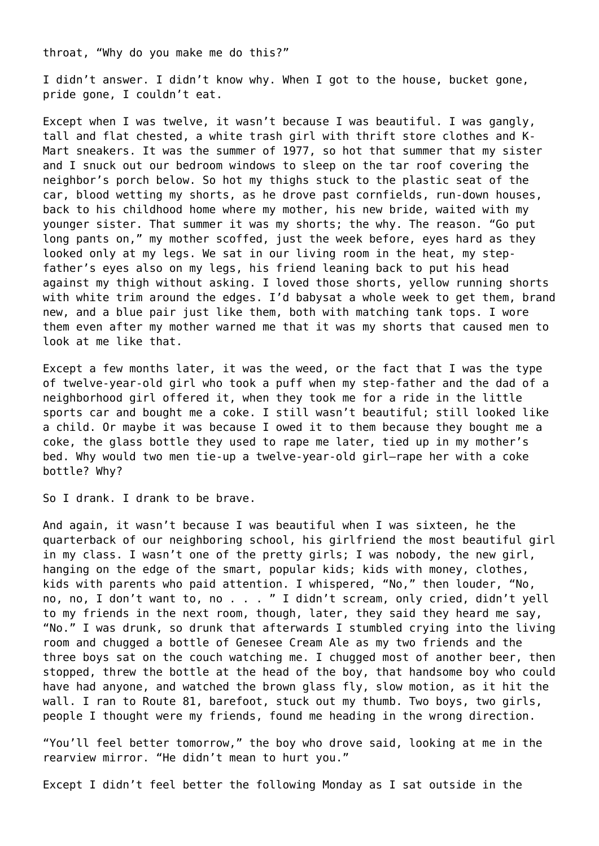throat, "Why do you make me do this?"

I didn't answer. I didn't know why. When I got to the house, bucket gone, pride gone, I couldn't eat.

Except when I was twelve, it wasn't because I was beautiful. I was gangly, tall and flat chested, a white trash girl with thrift store clothes and K-Mart sneakers. It was the summer of 1977, so hot that summer that my sister and I snuck out our bedroom windows to sleep on the tar roof covering the neighbor's porch below. So hot my thighs stuck to the plastic seat of the car, blood wetting my shorts, as he drove past cornfields, run-down houses, back to his childhood home where my mother, his new bride, waited with my younger sister. That summer it was my shorts; the why. The reason. "Go put long pants on," my mother scoffed, just the week before, eyes hard as they looked only at my legs. We sat in our living room in the heat, my stepfather's eyes also on my legs, his friend leaning back to put his head against my thigh without asking. I loved those shorts, yellow running shorts with white trim around the edges. I'd babysat a whole week to get them, brand new, and a blue pair just like them, both with matching tank tops. I wore them even after my mother warned me that it was my shorts that caused men to look at me like that.

Except a few months later, it was the weed, or the fact that I was the type of twelve-year-old girl who took a puff when my step-father and the dad of a neighborhood girl offered it, when they took me for a ride in the little sports car and bought me a coke. I still wasn't beautiful; still looked like a child. Or maybe it was because I owed it to them because they bought me a coke, the glass bottle they used to rape me later, tied up in my mother's bed. Why would two men tie-up a twelve-year-old girl—rape her with a coke bottle? Why?

So I drank. I drank to be brave.

And again, it wasn't because I was beautiful when I was sixteen, he the quarterback of our neighboring school, his girlfriend the most beautiful girl in my class. I wasn't one of the pretty girls; I was nobody, the new girl, hanging on the edge of the smart, popular kids; kids with money, clothes, kids with parents who paid attention. I whispered, "No," then louder, "No, no, no, I don't want to, no . . . " I didn't scream, only cried, didn't yell to my friends in the next room, though, later, they said they heard me say, "No." I was drunk, so drunk that afterwards I stumbled crying into the living room and chugged a bottle of Genesee Cream Ale as my two friends and the three boys sat on the couch watching me. I chugged most of another beer, then stopped, threw the bottle at the head of the boy, that handsome boy who could have had anyone, and watched the brown glass fly, slow motion, as it hit the wall. I ran to Route 81, barefoot, stuck out my thumb. Two boys, two girls, people I thought were my friends, found me heading in the wrong direction.

"You'll feel better tomorrow," the boy who drove said, looking at me in the rearview mirror. "He didn't mean to hurt you."

Except I didn't feel better the following Monday as I sat outside in the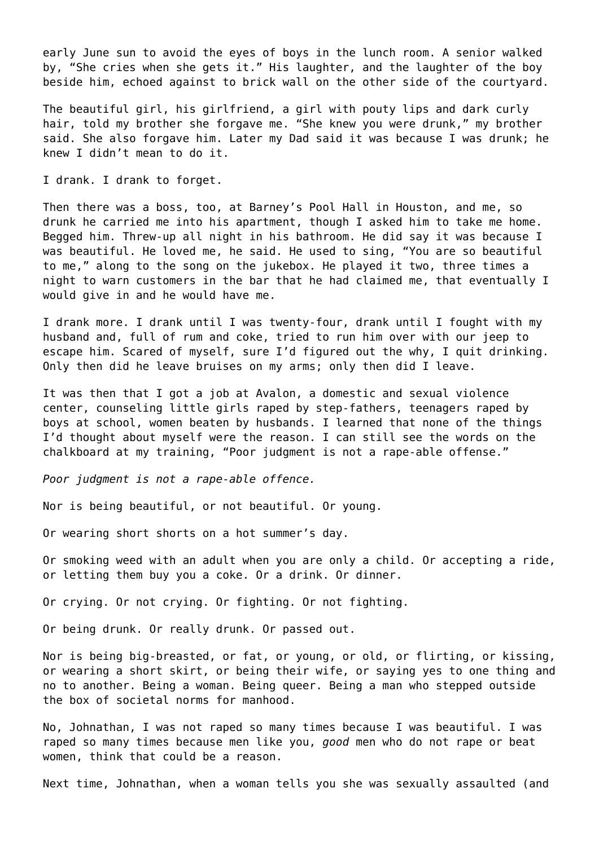early June sun to avoid the eyes of boys in the lunch room. A senior walked by, "She cries when she gets it." His laughter, and the laughter of the boy beside him, echoed against to brick wall on the other side of the courtyard.

The beautiful girl, his girlfriend, a girl with pouty lips and dark curly hair, told my brother she forgave me. "She knew you were drunk," my brother said. She also forgave him. Later my Dad said it was because I was drunk; he knew I didn't mean to do it.

I drank. I drank to forget.

Then there was a boss, too, at Barney's Pool Hall in Houston, and me, so drunk he carried me into his apartment, though I asked him to take me home. Begged him. Threw-up all night in his bathroom. He did say it was because I was beautiful. He loved me, he said. He used to sing, "You are so beautiful to me," along to the song on the jukebox. He played it two, three times a night to warn customers in the bar that he had claimed me, that eventually I would give in and he would have me.

I drank more. I drank until I was twenty-four, drank until I fought with my husband and, full of rum and coke, tried to run him over with our jeep to escape him. Scared of myself, sure I'd figured out the why, I quit drinking. Only then did he leave bruises on my arms; only then did I leave.

It was then that I got a job at Avalon, a domestic and sexual violence center, counseling little girls raped by step-fathers, teenagers raped by boys at school, women beaten by husbands. I learned that none of the things I'd thought about myself were the reason. I can still see the words on the chalkboard at my training, "Poor judgment is not a rape-able offense."

*Poor judgment is not a rape-able offence.*

Nor is being beautiful, or not beautiful. Or young.

Or wearing short shorts on a hot summer's day.

Or smoking weed with an adult when you are only a child. Or accepting a ride, or letting them buy you a coke. Or a drink. Or dinner.

Or crying. Or not crying. Or fighting. Or not fighting.

Or being drunk. Or really drunk. Or passed out.

Nor is being big-breasted, or fat, or young, or old, or flirting, or kissing, or wearing a short skirt, or being their wife, or saying yes to one thing and no to another. Being a woman. Being queer. Being a man who stepped outside the box of societal norms for manhood.

No, Johnathan, I was not raped so many times because I was beautiful. I was raped so many times because men like you, *good* men who do not rape or beat women, think that could be a reason.

Next time, Johnathan, when a woman tells you she was sexually assaulted (and